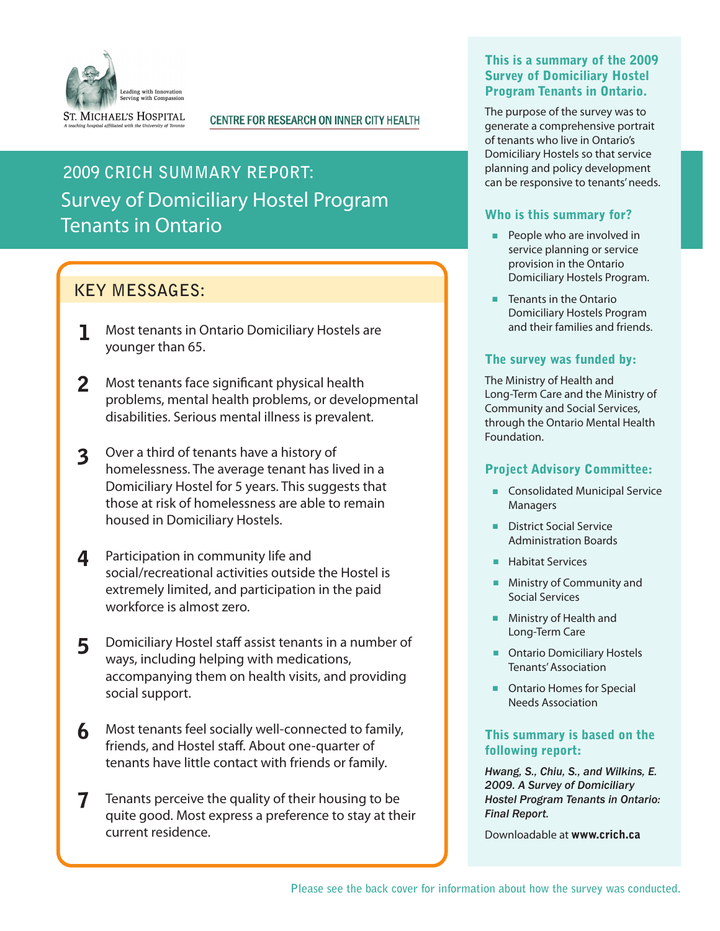

#### **CENTRE FOR RESEARCH ON INNER CITY HEALTH**

# Survey of Domiciliary Hostel Program Tenants in Ontario **2009 CRICH SUMMARY REPORT:**

# **KEY MESSAGES:**

- 1 Most tenants in Ontario Domiciliary Hostels are younger than 65.
- 2 Most tenants face significant physical health problems, mental health problems, or developmental disabilities. Serious mental illness is prevalent.
- 3 Over a third of tenants have a history of homelessness. The average tenant has lived in a Domiciliary Hostel for 5 years. This suggests that those at risk of homelessness are able to remain housed in Domiciliary Hostels.
- 4 Participation in community life and social/recreational activities outside the Hostel is extremely limited, and participation in the paid workforce is almost zero.
- 5 Domiciliary Hostel staff assist tenants in a number of ways, including helping with medications, accompanying them on health visits, and providing social support.
- 6 Most tenants feel socially well-connected to family, friends, and Hostel staff. About one-quarter of tenants have little contact with friends or family.
- 7Tenants perceive the quality of their housing to be quite good. Most express a preference to stay at their current residence.

### This is a summary of the 2009 Survey of Domiciliary Hostel Program Tenants in Ontario.

The purpose of the survey was to generate a comprehensive portrait of tenants who live in Ontario's Domiciliary Hostels so that service planning and policy development can be responsive to tenants' needs.

### Who is this summary for?

- **People who are involved in** service planning or service provision in the Ontario Domiciliary Hostels Program.
- **Tenants in the Ontario** Domiciliary Hostels Program and their families and friends.

### The survey was funded by:

The Ministry of Health and Long-Term Care and the Ministry of Community and Social Services, through the Ontario Mental Health Foundation.

### Project Advisory Committee:

- **Consolidated Municipal Service** Managers
- **District Social Service** Administration Boards
- **Habitat Services**
- **Ministry of Community and** Social Services
- **Ministry of Health and** Long-Term Care
- **Dimiliary Hostels** Tenants' Association
- **DRET** Ontario Homes for Special Needs Association

### This summary is based on the following report:

*Hwang, S., Chiu, S., and Wilkins, E. 2009. A Survey of Domiciliary Hostel Program Tenants in Ontario: Final Report.*

Downloadable at www.crich.ca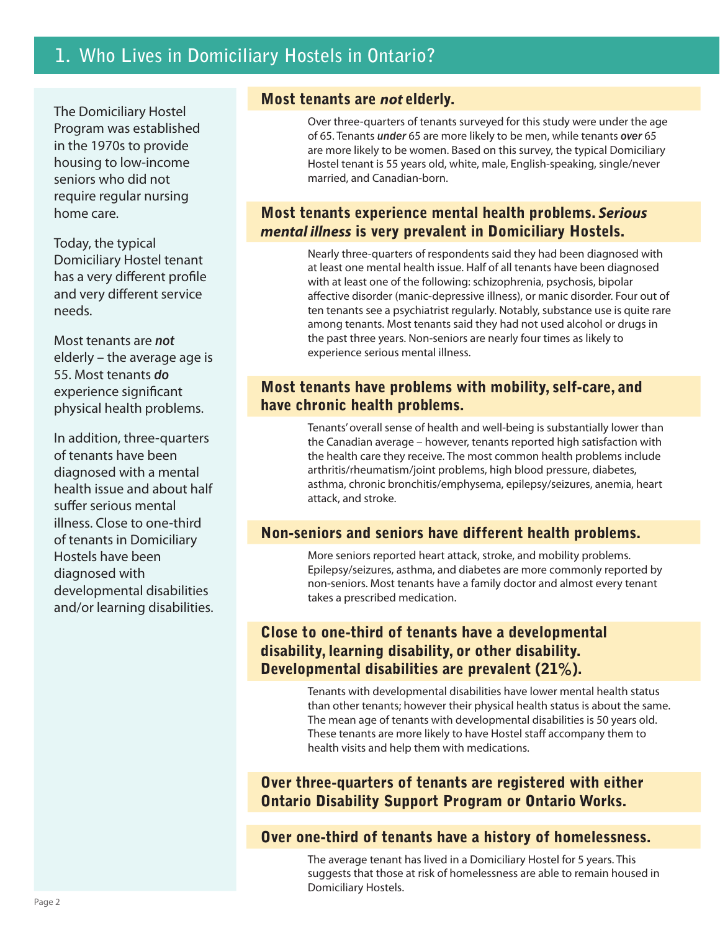The Domiciliary Hostel Program was established in the 1970s to provide housing to low-income seniors who did not require regular nursing home care.

Today, the typical Domiciliary Hostel tenant has a very different profile and very different service needs.

Most tenants are *not* elderly – the average age is 55. Most tenants *do* experience significant physical health problems.

In addition, three-quarters of tenants have been diagnosed with a mental health issue and about half suffer serious mental illness. Close to one-third of tenants in Domiciliary Hostels have been diagnosed with developmental disabilities and/or learning disabilities.

## Most tenants are *not* elderly.

Over three-quarters of tenants surveyed for this study were under the age of 65. Tenants *under* 65 are more likely to be men, while tenants *over* 65 are more likely to be women. Based on this survey, the typical Domiciliary Hostel tenant is 55 years old, white, male, English-speaking, single/never married, and Canadian-born.

# Most tenants experience mental health problems. *Serious mental illness* is very prevalent in Domiciliary Hostels.

Nearly three-quarters of respondents said they had been diagnosed with at least one mental health issue. Half of all tenants have been diagnosed with at least one of the following: schizophrenia, psychosis, bipolar affective disorder (manic-depressive illness), or manic disorder. Four out of ten tenants see a psychiatrist regularly. Notably, substance use is quite rare among tenants. Most tenants said they had not used alcohol or drugs in the past three years. Non-seniors are nearly four times as likely to experience serious mental illness.

## Most tenants have problems with mobility, self-care, and have chronic health problems.

Tenants' overall sense of health and well-being is substantially lower than the Canadian average – however, tenants reported high satisfaction with the health care they receive. The most common health problems include arthritis/rheumatism/joint problems, high blood pressure, diabetes, asthma, chronic bronchitis/emphysema, epilepsy/seizures, anemia, heart attack, and stroke.

# Non-seniors and seniors have different health problems.

More seniors reported heart attack, stroke, and mobility problems. Epilepsy/seizures, asthma, and diabetes are more commonly reported by non-seniors. Most tenants have a family doctor and almost every tenant takes a prescribed medication.

# Close to one-third of tenants have a developmental disability, learning disability, or other disability. Developmental disabilities are prevalent (21%).

Tenants with developmental disabilities have lower mental health status than other tenants; however their physical health status is about the same. The mean age of tenants with developmental disabilities is 50 years old. These tenants are more likely to have Hostel staff accompany them to health visits and help them with medications.

# Over three-quarters of tenants are registered with either Ontario Disability Support Program or Ontario Works.

# Over one-third of tenants have a history of homelessness.

The average tenant has lived in a Domiciliary Hostel for 5 years. This suggests that those at risk of homelessness are able to remain housed in Domiciliary Hostels.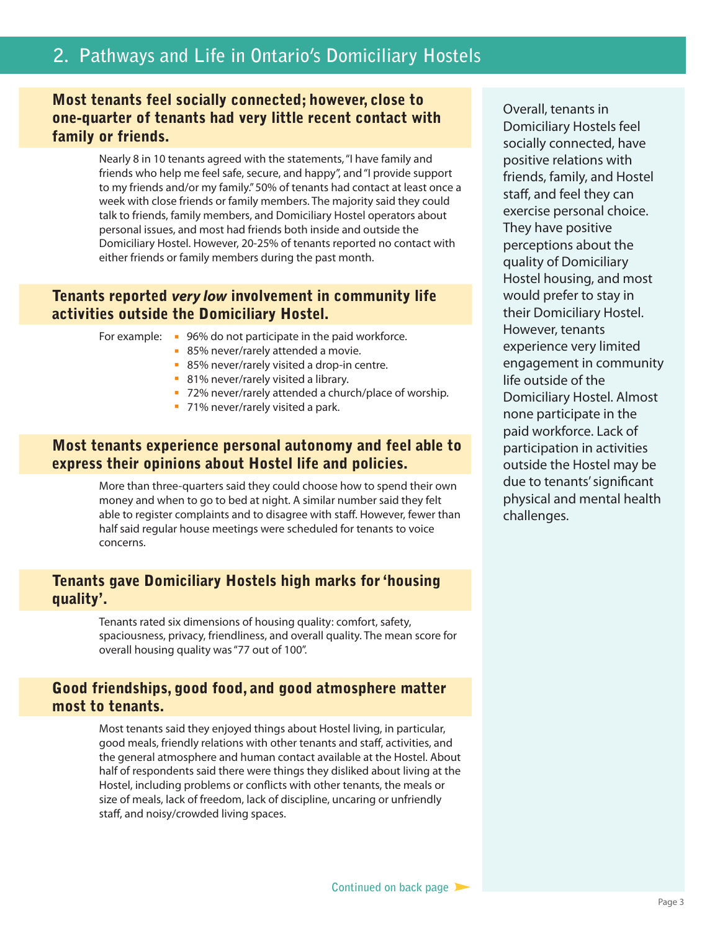# **2. Pathways and Life in Ontario's Domiciliary Hostels**

## Most tenants feel socially connected; however, close to one-quarter of tenants had very little recent contact with family or friends.

Nearly 8 in 10 tenants agreed with the statements, "I have family and friends who help me feel safe, secure, and happy", and "I provide support to my friends and/or my family." 50% of tenants had contact at least once a week with close friends or family members. The majority said they could talk to friends, family members, and Domiciliary Hostel operators about personal issues, and most had friends both inside and outside the Domiciliary Hostel. However, 20-25% of tenants reported no contact with either friends or family members during the past month.

### Tenants reported *very low* involvement in community life activities outside the Domiciliary Hostel.

- For example: 96% do not participate in the paid workforce.
	- **85% never/rarely attended a movie.**
	- 85% never/rarely visited a drop-in centre.
	- **81% never/rarely visited a library.**
	- **72% never/rarely attended a church/place of worship.**
	- **71% never/rarely visited a park.**

## Most tenants experience personal autonomy and feel able to express their opinions about Hostel life and policies.

More than three-quarters said they could choose how to spend their own money and when to go to bed at night. A similar number said they felt able to register complaints and to disagree with staff. However, fewer than half said regular house meetings were scheduled for tenants to voice concerns.

## Tenants gave Domiciliary Hostels high marks for 'housing quality'.

Tenants rated six dimensions of housing quality: comfort, safety, spaciousness, privacy, friendliness, and overall quality. The mean score for overall housing quality was "77 out of 100".

## Good friendships, good food, and good atmosphere matter most to tenants.

Most tenants said they enjoyed things about Hostel living, in particular, good meals, friendly relations with other tenants and staff, activities, and the general atmosphere and human contact available at the Hostel. About half of respondents said there were things they disliked about living at the Hostel, including problems or conflicts with other tenants, the meals or size of meals, lack of freedom, lack of discipline, uncaring or unfriendly staff, and noisy/crowded living spaces.

Overall, tenants in Domiciliary Hostels feel socially connected, have positive relations with friends, family, and Hostel staff, and feel they can exercise personal choice. They have positive perceptions about the quality of Domiciliary Hostel housing, and most would prefer to stay in their Domiciliary Hostel. However, tenants experience very limited engagement in community life outside of the Domiciliary Hostel. Almost none participate in the paid workforce. Lack of participation in activities outside the Hostel may be due to tenants' significant physical and mental health challenges.